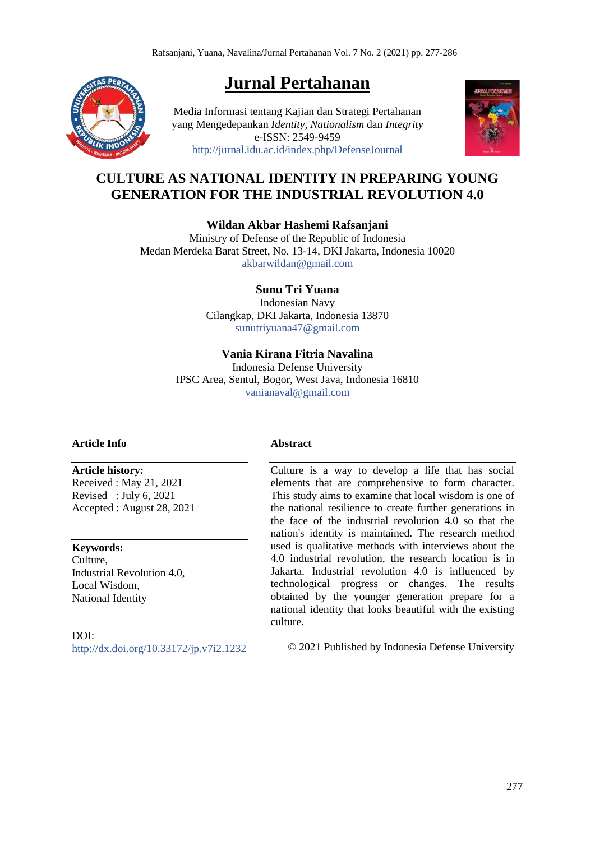# **Jurnal Pertahanan**



Media Informasi tentang Kajian dan Strategi Pertahanan yang Mengedepankan *Identity*, *Nationalism* dan *Integrity* e-ISSN: 2549-9459 <http://jurnal.idu.ac.id/index.php/DefenseJournal>



# **CULTURE AS NATIONAL IDENTITY IN PREPARING YOUNG GENERATION FOR THE INDUSTRIAL REVOLUTION 4.0**

**Wildan Akbar Hashemi Rafsanjani**

Ministry of Defense of the Republic of Indonesia Medan Merdeka Barat Street, No. 13-14, DKI Jakarta, Indonesia 10020 [akbarwildan@gmail.com](mailto:akbarwildan@gmail.com)

### **Sunu Tri Yuana**

Indonesian Navy Cilangkap, DKI Jakarta, Indonesia 13870 [sunutriyuana47@gmail.com](mailto:sunutriyuana47@gmail.com)

### **Vania Kirana Fitria Navalina**

Indonesia Defense University IPSC Area, Sentul, Bogor, West Java, Indonesia 16810 [vanianaval@gmail.com](mailto:vanianaval@gmail.com)

### **Article Info**

**Article history:** 

Received : May 21, 2021 Revised : July 6, 2021 Accepted : August 28, 2021

#### **Keywords:**

Culture, Industrial Revolution 4.0, Local Wisdom, National Identity

DOI: <http://dx.doi.org/10.33172/jp.v7i2.1232>

#### **Abstract**

Culture is a way to develop a life that has social elements that are comprehensive to form character. This study aims to examine that local wisdom is one of the national resilience to create further generations in the face of the industrial revolution 4.0 so that the nation's identity is maintained. The research method used is qualitative methods with interviews about the 4.0 industrial revolution, the research location is in Jakarta. Industrial revolution 4.0 is influenced by technological progress or changes. The results obtained by the younger generation prepare for a national identity that looks beautiful with the existing culture.

© 2021 Published by Indonesia Defense University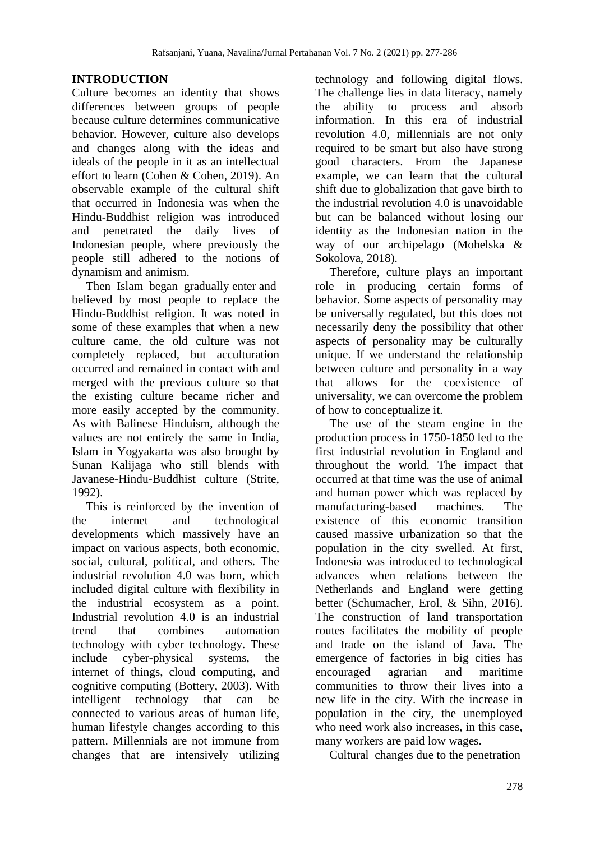## **INTRODUCTION**

Culture becomes an identity that shows differences between groups of people because culture determines communicative behavior. However, culture also develops and changes along with the ideas and ideals of the people in it as an intellectual effort to learn (Cohen & Cohen, 2019). An observable example of the cultural shift that occurred in Indonesia was when the Hindu-Buddhist religion was introduced and penetrated the daily lives of Indonesian people, where previously the people still adhered to the notions of dynamism and animism.

Then Islam began gradually enter and believed by most people to replace the Hindu-Buddhist religion. It was noted in some of these examples that when a new culture came, the old culture was not completely replaced, but acculturation occurred and remained in contact with and merged with the previous culture so that the existing culture became richer and more easily accepted by the community. As with Balinese Hinduism, although the values are not entirely the same in India, Islam in Yogyakarta was also brought by Sunan Kalijaga who still blends with Javanese-Hindu-Buddhist culture (Strite, 1992).

This is reinforced by the invention of the internet and technological developments which massively have an impact on various aspects, both economic, social, cultural, political, and others. The industrial revolution 4.0 was born, which included digital culture with flexibility in the industrial ecosystem as a point. Industrial revolution 4.0 is an industrial trend that combines automation technology with cyber technology. These include cyber-physical systems, the internet of things, cloud computing, and cognitive computing (Bottery, 2003). With intelligent technology that can be connected to various areas of human life, human lifestyle changes according to this pattern. Millennials are not immune from changes that are intensively utilizing

technology and following digital flows. The challenge lies in data literacy, namely the ability to process and absorb information. In this era of industrial revolution 4.0, millennials are not only required to be smart but also have strong good characters. From the Japanese example, we can learn that the cultural shift due to globalization that gave birth to the industrial revolution 4.0 is unavoidable but can be balanced without losing our identity as the Indonesian nation in the way of our archipelago (Mohelska & Sokolova, 2018).

Therefore, culture plays an important role in producing certain forms of behavior. Some aspects of personality may be universally regulated, but this does not necessarily deny the possibility that other aspects of personality may be culturally unique. If we understand the relationship between culture and personality in a way that allows for the coexistence of universality, we can overcome the problem of how to conceptualize it.

The use of the steam engine in the production process in 1750-1850 led to the first industrial revolution in England and throughout the world. The impact that occurred at that time was the use of animal and human power which was replaced by manufacturing-based machines. The existence of this economic transition caused massive urbanization so that the population in the city swelled. At first, Indonesia was introduced to technological advances when relations between the Netherlands and England were getting better (Schumacher, Erol, & Sihn, 2016). The construction of land transportation routes facilitates the mobility of people and trade on the island of Java. The emergence of factories in big cities has encouraged agrarian and maritime communities to throw their lives into a new life in the city. With the increase in population in the city, the unemployed who need work also increases, in this case, many workers are paid low wages.

Cultural changes due to the penetration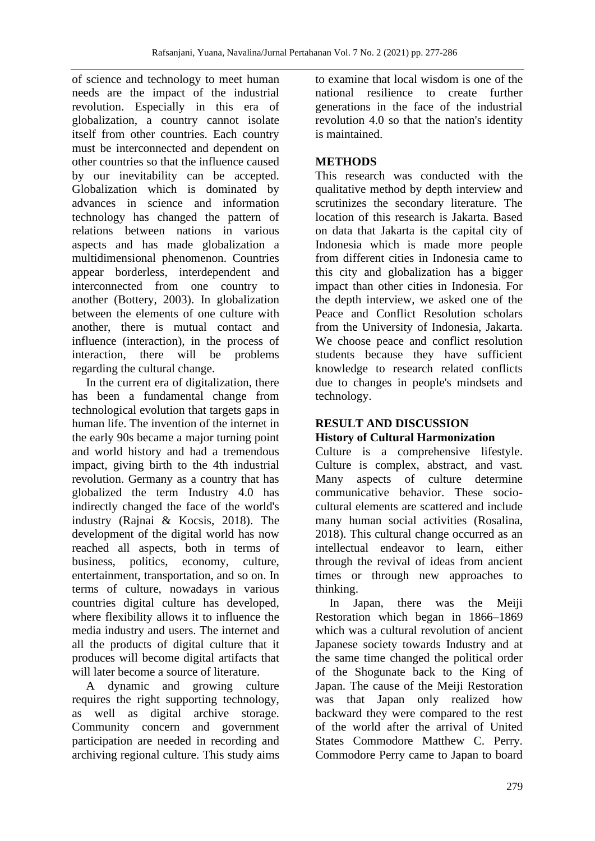of science and technology to meet human needs are the impact of the industrial revolution. Especially in this era of globalization, a country cannot isolate itself from other countries. Each country must be interconnected and dependent on other countries so that the influence caused by our inevitability can be accepted. Globalization which is dominated by advances in science and information technology has changed the pattern of relations between nations in various aspects and has made globalization a multidimensional phenomenon. Countries appear borderless, interdependent and interconnected from one country to another (Bottery, 2003). In globalization between the elements of one culture with another, there is mutual contact and influence (interaction), in the process of interaction, there will be problems regarding the cultural change.

In the current era of digitalization, there has been a fundamental change from technological evolution that targets gaps in human life. The invention of the internet in the early 90s became a major turning point and world history and had a tremendous impact, giving birth to the 4th industrial revolution. Germany as a country that has globalized the term Industry 4.0 has indirectly changed the face of the world's industry (Rajnai & Kocsis, 2018). The development of the digital world has now reached all aspects, both in terms of business, politics, economy, culture, entertainment, transportation, and so on. In terms of culture, nowadays in various countries digital culture has developed, where flexibility allows it to influence the media industry and users. The internet and all the products of digital culture that it produces will become digital artifacts that will later become a source of literature.

A dynamic and growing culture requires the right supporting technology, as well as digital archive storage. Community concern and government participation are needed in recording and archiving regional culture. This study aims to examine that local wisdom is one of the national resilience to create further generations in the face of the industrial revolution 4.0 so that the nation's identity is maintained.

# **METHODS**

This research was conducted with the qualitative method by depth interview and scrutinizes the secondary literature. The location of this research is Jakarta. Based on data that Jakarta is the capital city of Indonesia which is made more people from different cities in Indonesia came to this city and globalization has a bigger impact than other cities in Indonesia. For the depth interview, we asked one of the Peace and Conflict Resolution scholars from the University of Indonesia, Jakarta. We choose peace and conflict resolution students because they have sufficient knowledge to research related conflicts due to changes in people's mindsets and technology.

# **RESULT AND DISCUSSION**

# **History of Cultural Harmonization**

Culture is a comprehensive lifestyle. Culture is complex, abstract, and vast. Many aspects of culture determine communicative behavior. These sociocultural elements are scattered and include many human social activities (Rosalina, 2018). This cultural change occurred as an intellectual endeavor to learn, either through the revival of ideas from ancient times or through new approaches to thinking.

In Japan, there was the Meiji Restoration which began in 1866–1869 which was a cultural revolution of ancient Japanese society towards Industry and at the same time changed the political order of the Shogunate back to the King of Japan. The cause of the Meiji Restoration was that Japan only realized how backward they were compared to the rest of the world after the arrival of United States Commodore Matthew C. Perry. Commodore Perry came to Japan to board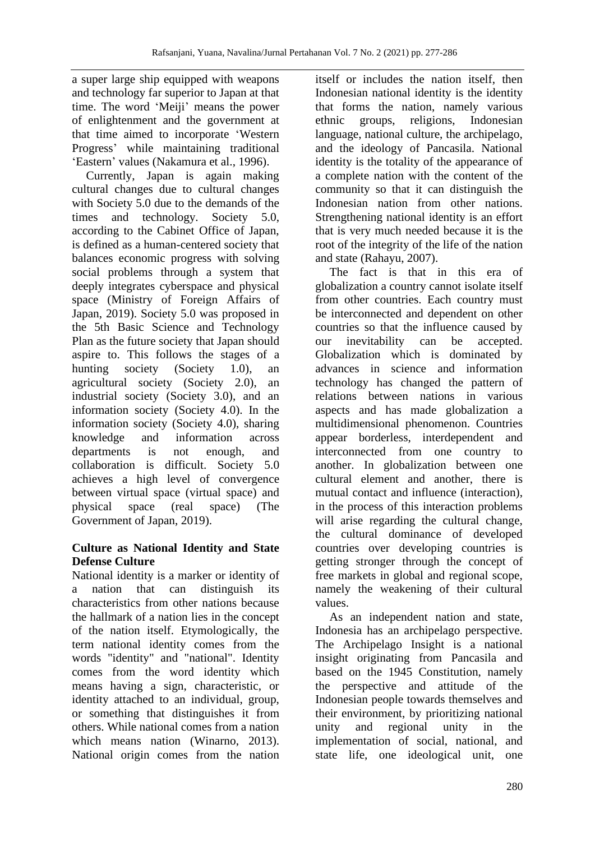a super large ship equipped with weapons and technology far superior to Japan at that time. The word 'Meiji' means the power of enlightenment and the government at that time aimed to incorporate 'Western Progress' while maintaining traditional 'Eastern' values (Nakamura et al., 1996).

Currently, Japan is again making cultural changes due to cultural changes with Society 5.0 due to the demands of the times and technology. Society 5.0, according to the Cabinet Office of Japan, is defined as a human-centered society that balances economic progress with solving social problems through a system that deeply integrates cyberspace and physical space (Ministry of Foreign Affairs of Japan, 2019). Society 5.0 was proposed in the 5th Basic Science and Technology Plan as the future society that Japan should aspire to. This follows the stages of a hunting society (Society 1.0), an agricultural society (Society 2.0), an industrial society (Society 3.0), and an information society (Society 4.0). In the information society (Society 4.0), sharing knowledge and information across departments is not enough, and collaboration is difficult. Society 5.0 achieves a high level of convergence between virtual space (virtual space) and physical space (real space) (The Government of Japan, 2019).

# **Culture as National Identity and State Defense Culture**

National identity is a marker or identity of a nation that can distinguish its characteristics from other nations because the hallmark of a nation lies in the concept of the nation itself. Etymologically, the term national identity comes from the words "identity" and "national". Identity comes from the word identity which means having a sign, characteristic, or identity attached to an individual, group, or something that distinguishes it from others. While national comes from a nation which means nation (Winarno, 2013). National origin comes from the nation itself or includes the nation itself, then Indonesian national identity is the identity that forms the nation, namely various ethnic groups, religions, Indonesian language, national culture, the archipelago, and the ideology of Pancasila. National identity is the totality of the appearance of a complete nation with the content of the community so that it can distinguish the Indonesian nation from other nations. Strengthening national identity is an effort that is very much needed because it is the root of the integrity of the life of the nation and state (Rahayu, 2007).

The fact is that in this era of globalization a country cannot isolate itself from other countries. Each country must be interconnected and dependent on other countries so that the influence caused by our inevitability can be accepted. Globalization which is dominated by advances in science and information technology has changed the pattern of relations between nations in various aspects and has made globalization a multidimensional phenomenon. Countries appear borderless, interdependent and interconnected from one country to another. In globalization between one cultural element and another, there is mutual contact and influence (interaction), in the process of this interaction problems will arise regarding the cultural change, the cultural dominance of developed countries over developing countries is getting stronger through the concept of free markets in global and regional scope, namely the weakening of their cultural values.

As an independent nation and state, Indonesia has an archipelago perspective. The Archipelago Insight is a national insight originating from Pancasila and based on the 1945 Constitution, namely the perspective and attitude of the Indonesian people towards themselves and their environment, by prioritizing national unity and regional unity in the implementation of social, national, and state life, one ideological unit, one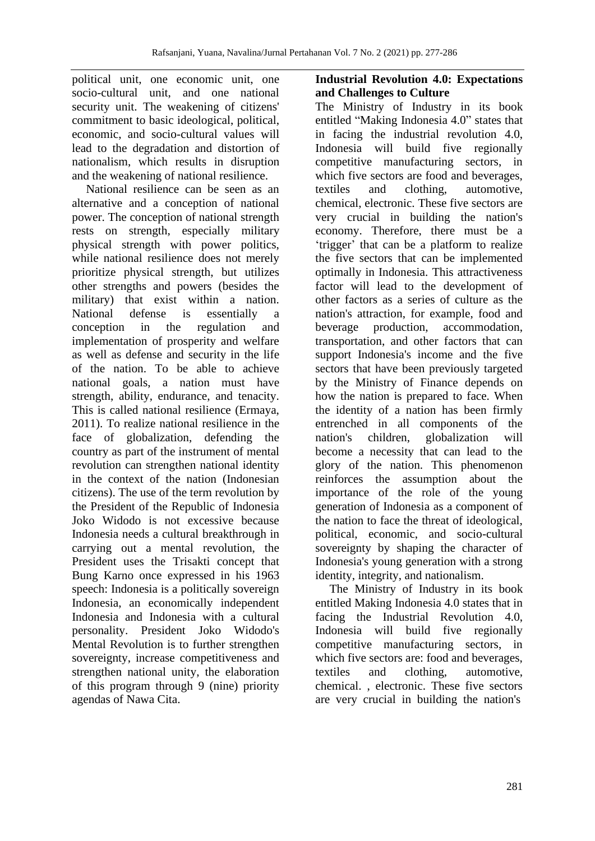political unit, one economic unit, one socio-cultural unit, and one national security unit. The weakening of citizens' commitment to basic ideological, political, economic, and socio-cultural values will lead to the degradation and distortion of nationalism, which results in disruption and the weakening of national resilience.

National resilience can be seen as an alternative and a conception of national power. The conception of national strength rests on strength, especially military physical strength with power politics, while national resilience does not merely prioritize physical strength, but utilizes other strengths and powers (besides the military) that exist within a nation. National defense is essentially a conception in the regulation and implementation of prosperity and welfare as well as defense and security in the life of the nation. To be able to achieve national goals, a nation must have strength, ability, endurance, and tenacity. This is called national resilience (Ermaya, 2011). To realize national resilience in the face of globalization, defending the country as part of the instrument of mental revolution can strengthen national identity in the context of the nation (Indonesian citizens). The use of the term revolution by the President of the Republic of Indonesia Joko Widodo is not excessive because Indonesia needs a cultural breakthrough in carrying out a mental revolution, the President uses the Trisakti concept that Bung Karno once expressed in his 1963 speech: Indonesia is a politically sovereign Indonesia, an economically independent Indonesia and Indonesia with a cultural personality. President Joko Widodo's Mental Revolution is to further strengthen sovereignty, increase competitiveness and strengthen national unity, the elaboration of this program through 9 (nine) priority agendas of Nawa Cita.

## **Industrial Revolution 4.0: Expectations and Challenges to Culture**

The Ministry of Industry in its book entitled "Making Indonesia 4.0" states that in facing the industrial revolution 4.0, Indonesia will build five regionally competitive manufacturing sectors, in which five sectors are food and beverages, textiles and clothing, automotive, chemical, electronic. These five sectors are very crucial in building the nation's economy. Therefore, there must be a 'trigger' that can be a platform to realize the five sectors that can be implemented optimally in Indonesia. This attractiveness factor will lead to the development of other factors as a series of culture as the nation's attraction, for example, food and beverage production, accommodation, transportation, and other factors that can support Indonesia's income and the five sectors that have been previously targeted by the Ministry of Finance depends on how the nation is prepared to face. When the identity of a nation has been firmly entrenched in all components of the nation's children, globalization will become a necessity that can lead to the glory of the nation. This phenomenon reinforces the assumption about the importance of the role of the young generation of Indonesia as a component of the nation to face the threat of ideological, political, economic, and socio-cultural sovereignty by shaping the character of Indonesia's young generation with a strong identity, integrity, and nationalism.

The Ministry of Industry in its book entitled Making Indonesia 4.0 states that in facing the Industrial Revolution 4.0, Indonesia will build five regionally competitive manufacturing sectors, in which five sectors are: food and beverages, textiles and clothing, automotive, chemical. , electronic. These five sectors are very crucial in building the nation's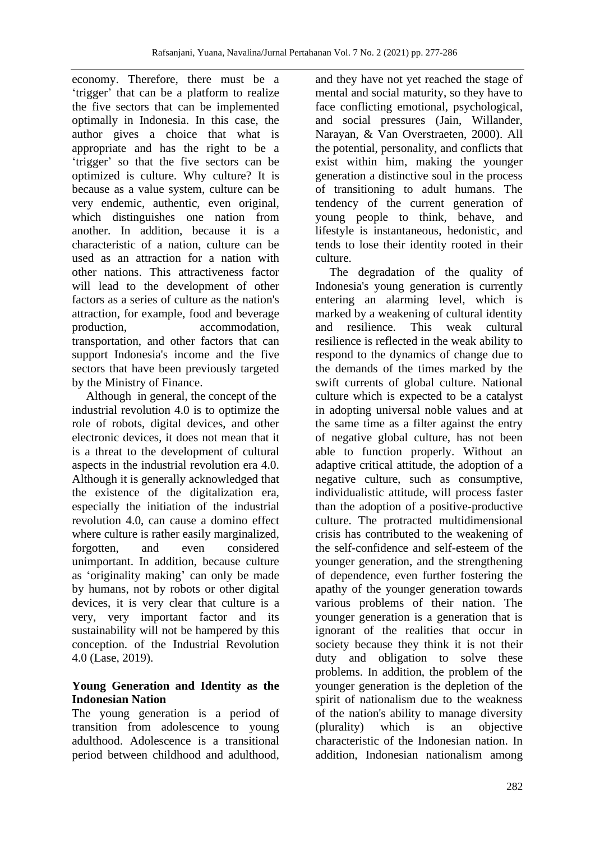economy. Therefore, there must be a 'trigger' that can be a platform to realize the five sectors that can be implemented optimally in Indonesia. In this case, the author gives a choice that what is appropriate and has the right to be a 'trigger' so that the five sectors can be optimized is culture. Why culture? It is because as a value system, culture can be very endemic, authentic, even original, which distinguishes one nation from another. In addition, because it is a characteristic of a nation, culture can be used as an attraction for a nation with other nations. This attractiveness factor will lead to the development of other factors as a series of culture as the nation's attraction, for example, food and beverage production, accommodation, transportation, and other factors that can support Indonesia's income and the five sectors that have been previously targeted by the Ministry of Finance.

Although in general, the concept of the industrial revolution 4.0 is to optimize the role of robots, digital devices, and other electronic devices, it does not mean that it is a threat to the development of cultural aspects in the industrial revolution era 4.0. Although it is generally acknowledged that the existence of the digitalization era, especially the initiation of the industrial revolution 4.0, can cause a domino effect where culture is rather easily marginalized. forgotten, and even considered unimportant. In addition, because culture as 'originality making' can only be made by humans, not by robots or other digital devices, it is very clear that culture is a very, very important factor and its sustainability will not be hampered by this conception. of the Industrial Revolution 4.0 (Lase, 2019).

# **Young Generation and Identity as the Indonesian Nation**

The young generation is a period of transition from adolescence to young adulthood. Adolescence is a transitional period between childhood and adulthood,

and they have not yet reached the stage of mental and social maturity, so they have to face conflicting emotional, psychological, and social pressures (Jain, Willander, Narayan, & Van Overstraeten, 2000). All the potential, personality, and conflicts that exist within him, making the younger generation a distinctive soul in the process of transitioning to adult humans. The tendency of the current generation of young people to think, behave, and lifestyle is instantaneous, hedonistic, and tends to lose their identity rooted in their culture.

The degradation of the quality of Indonesia's young generation is currently entering an alarming level, which is marked by a weakening of cultural identity and resilience. This weak cultural resilience is reflected in the weak ability to respond to the dynamics of change due to the demands of the times marked by the swift currents of global culture. National culture which is expected to be a catalyst in adopting universal noble values and at the same time as a filter against the entry of negative global culture, has not been able to function properly. Without an adaptive critical attitude, the adoption of a negative culture, such as consumptive, individualistic attitude, will process faster than the adoption of a positive-productive culture. The protracted multidimensional crisis has contributed to the weakening of the self-confidence and self-esteem of the younger generation, and the strengthening of dependence, even further fostering the apathy of the younger generation towards various problems of their nation. The younger generation is a generation that is ignorant of the realities that occur in society because they think it is not their duty and obligation to solve these problems. In addition, the problem of the younger generation is the depletion of the spirit of nationalism due to the weakness of the nation's ability to manage diversity (plurality) which is an objective characteristic of the Indonesian nation. In addition, Indonesian nationalism among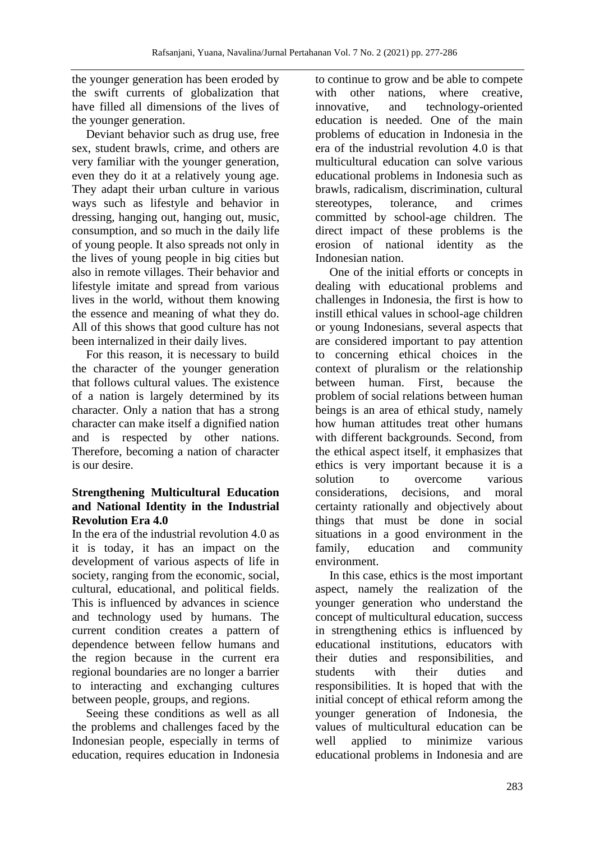the younger generation has been eroded by the swift currents of globalization that have filled all dimensions of the lives of the younger generation.

Deviant behavior such as drug use, free sex, student brawls, crime, and others are very familiar with the younger generation, even they do it at a relatively young age. They adapt their urban culture in various ways such as lifestyle and behavior in dressing, hanging out, hanging out, music, consumption, and so much in the daily life of young people. It also spreads not only in the lives of young people in big cities but also in remote villages. Their behavior and lifestyle imitate and spread from various lives in the world, without them knowing the essence and meaning of what they do. All of this shows that good culture has not been internalized in their daily lives.

For this reason, it is necessary to build the character of the younger generation that follows cultural values. The existence of a nation is largely determined by its character. Only a nation that has a strong character can make itself a dignified nation and is respected by other nations. Therefore, becoming a nation of character is our desire.

### **Strengthening Multicultural Education and National Identity in the Industrial Revolution Era 4.0**

In the era of the industrial revolution 4.0 as it is today, it has an impact on the development of various aspects of life in society, ranging from the economic, social, cultural, educational, and political fields. This is influenced by advances in science and technology used by humans. The current condition creates a pattern of dependence between fellow humans and the region because in the current era regional boundaries are no longer a barrier to interacting and exchanging cultures between people, groups, and regions.

Seeing these conditions as well as all the problems and challenges faced by the Indonesian people, especially in terms of education, requires education in Indonesia to continue to grow and be able to compete with other nations, where creative, innovative, and technology-oriented education is needed. One of the main problems of education in Indonesia in the era of the industrial revolution 4.0 is that multicultural education can solve various educational problems in Indonesia such as brawls, radicalism, discrimination, cultural stereotypes, tolerance, and crimes committed by school-age children. The direct impact of these problems is the erosion of national identity as the Indonesian nation.

One of the initial efforts or concepts in dealing with educational problems and challenges in Indonesia, the first is how to instill ethical values in school-age children or young Indonesians, several aspects that are considered important to pay attention to concerning ethical choices in the context of pluralism or the relationship between human. First, because the problem of social relations between human beings is an area of ethical study, namely how human attitudes treat other humans with different backgrounds. Second, from the ethical aspect itself, it emphasizes that ethics is very important because it is a solution to overcome various considerations, decisions, and moral certainty rationally and objectively about things that must be done in social situations in a good environment in the family, education and community environment.

In this case, ethics is the most important aspect, namely the realization of the younger generation who understand the concept of multicultural education, success in strengthening ethics is influenced by educational institutions, educators with their duties and responsibilities, and students with their duties and responsibilities. It is hoped that with the initial concept of ethical reform among the younger generation of Indonesia, the values of multicultural education can be well applied to minimize various educational problems in Indonesia and are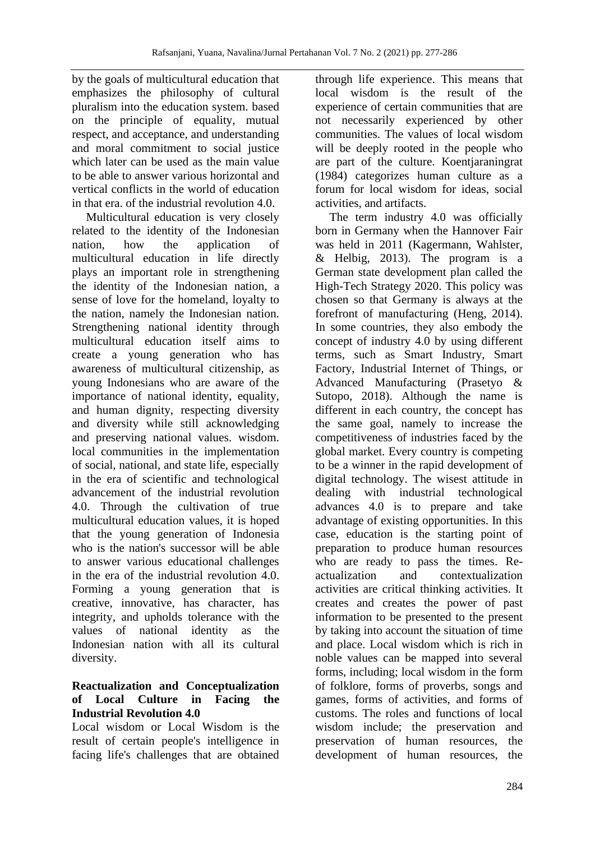by the goals of multicultural education that emphasizes the philosophy of cultural pluralism into the education system. based on the principle of equality, mutual respect, and acceptance, and understanding and moral commitment to social justice which later can be used as the main value to be able to answer various horizontal and vertical conflicts in the world of education in that era. of the industrial revolution 4.0.

Multicultural education is very closely related to the identity of the Indonesian nation, how the application of multicultural education in life directly plays an important role in strengthening the identity of the Indonesian nation, a sense of love for the homeland, loyalty to the nation, namely the Indonesian nation. Strengthening national identity through multicultural education itself aims to create a young generation who has awareness of multicultural citizenship, as young Indonesians who are aware of the importance of national identity, equality, and human dignity, respecting diversity and diversity while still acknowledging and preserving national values. wisdom. local communities in the implementation of social, national, and state life, especially in the era of scientific and technological advancement of the industrial revolution 4.0. Through the cultivation of true multicultural education values, it is hoped that the young generation of Indonesia who is the nation's successor will be able to answer various educational challenges in the era of the industrial revolution 4.0. Forming a young generation that is creative, innovative, has character, has integrity, and upholds tolerance with the values of national identity as the Indonesian nation with all its cultural diversity.

# **Reactualization and Conceptualization of Local Culture in Facing the Industrial Revolution 4.0**

Local wisdom or Local Wisdom is the result of certain people's intelligence in facing life's challenges that are obtained

through life experience. This means that local wisdom is the result of the experience of certain communities that are not necessarily experienced by other communities. The values of local wisdom will be deeply rooted in the people who are part of the culture. Koentjaraningrat (1984) categorizes human culture as a forum for local wisdom for ideas, social activities, and artifacts.

The term industry 4.0 was officially born in Germany when the Hannover Fair was held in 2011 (Kagermann, Wahlster, & Helbig, 2013). The program is a German state development plan called the High-Tech Strategy 2020. This policy was chosen so that Germany is always at the forefront of manufacturing (Heng, 2014). In some countries, they also embody the concept of industry 4.0 by using different terms, such as Smart Industry, Smart Factory, Industrial Internet of Things, or Advanced Manufacturing (Prasetyo & Sutopo, 2018). Although the name is different in each country, the concept has the same goal, namely to increase the competitiveness of industries faced by the global market. Every country is competing to be a winner in the rapid development of digital technology. The wisest attitude in dealing with industrial technological advances 4.0 is to prepare and take advantage of existing opportunities. In this case, education is the starting point of preparation to produce human resources who are ready to pass the times. Reactualization and contextualization activities are critical thinking activities. It creates and creates the power of past information to be presented to the present by taking into account the situation of time and place. Local wisdom which is rich in noble values can be mapped into several forms, including; local wisdom in the form of folklore, forms of proverbs, songs and games, forms of activities, and forms of customs. The roles and functions of local wisdom include; the preservation and preservation of human resources, the development of human resources, the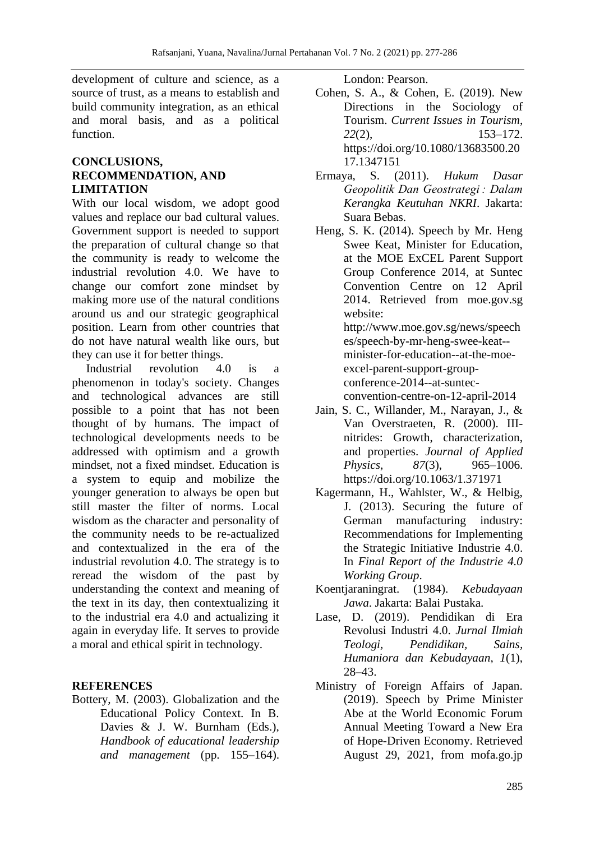development of culture and science, as a source of trust, as a means to establish and build community integration, as an ethical and moral basis, and as a political function.

### **CONCLUSIONS, RECOMMENDATION, AND LIMITATION**

With our local wisdom, we adopt good values and replace our bad cultural values. Government support is needed to support the preparation of cultural change so that the community is ready to welcome the industrial revolution 4.0. We have to change our comfort zone mindset by making more use of the natural conditions around us and our strategic geographical position. Learn from other countries that do not have natural wealth like ours, but they can use it for better things.

Industrial revolution 4.0 is a phenomenon in today's society. Changes and technological advances are still possible to a point that has not been thought of by humans. The impact of technological developments needs to be addressed with optimism and a growth mindset, not a fixed mindset. Education is a system to equip and mobilize the younger generation to always be open but still master the filter of norms. Local wisdom as the character and personality of the community needs to be re-actualized and contextualized in the era of the industrial revolution 4.0. The strategy is to reread the wisdom of the past by understanding the context and meaning of the text in its day, then contextualizing it to the industrial era 4.0 and actualizing it again in everyday life. It serves to provide a moral and ethical spirit in technology.

### **REFERENCES**

Bottery, M. (2003). Globalization and the Educational Policy Context. In B. Davies & J. W. Burnham (Eds.), *Handbook of educational leadership and management* (pp. 155–164). London: Pearson.

- Cohen, S. A., & Cohen, E. (2019). New Directions in the Sociology of Tourism. *Current Issues in Tourism*, *22*(2), 153–172. https://doi.org/10.1080/13683500.20 17.1347151
- Ermaya, S. (2011). *Hukum Dasar Geopolitik Dan Geostrategi : Dalam Kerangka Keutuhan NKRI*. Jakarta: Suara Bebas.
- Heng, S. K. (2014). Speech by Mr. Heng Swee Keat, Minister for Education, at the MOE ExCEL Parent Support Group Conference 2014, at Suntec Convention Centre on 12 April 2014. Retrieved from moe.gov.sg website: http://www.moe.gov.sg/news/speech es/speech-by-mr-heng-swee-keat- minister-for-education--at-the-moeexcel-parent-support-groupconference-2014--at-suntecconvention-centre-on-12-april-2014
- Jain, S. C., Willander, M., Narayan, J., & Van Overstraeten, R. (2000). IIInitrides: Growth, characterization, and properties. *Journal of Applied Physics*, *87*(3), 965–1006. https://doi.org/10.1063/1.371971
- Kagermann, H., Wahlster, W., & Helbig, J. (2013). Securing the future of German manufacturing industry: Recommendations for Implementing the Strategic Initiative Industrie 4.0. In *Final Report of the Industrie 4.0 Working Group*.
- Koentjaraningrat. (1984). *Kebudayaan Jawa*. Jakarta: Balai Pustaka.
- Lase, D. (2019). Pendidikan di Era Revolusi Industri 4.0. *Jurnal Ilmiah Teologi, Pendidikan, Sains, Humaniora dan Kebudayaan*, *1*(1), 28–43.
- Ministry of Foreign Affairs of Japan. (2019). Speech by Prime Minister Abe at the World Economic Forum Annual Meeting Toward a New Era of Hope-Driven Economy. Retrieved August 29, 2021, from mofa.go.jp